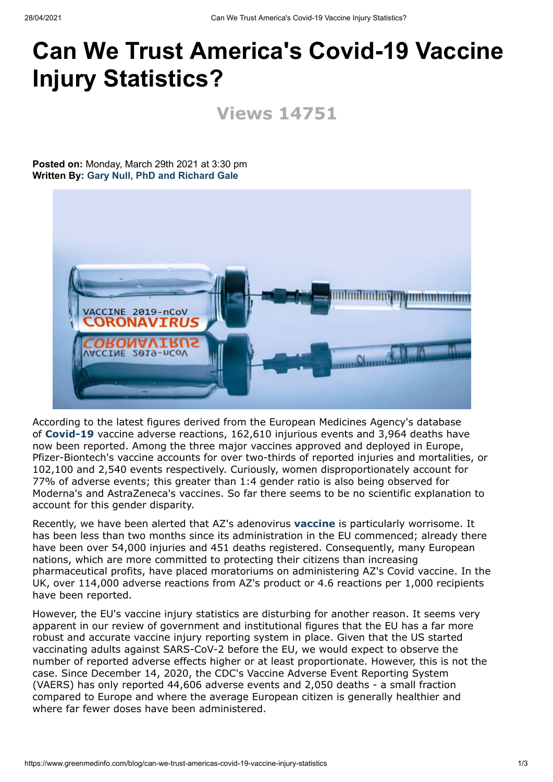## **Can We Trust America's Covid-19 Vaccine Injury Statistics?**

**Views 14751**

**Posted on:** Monday, March 29th 2021 at 3:30 pm **Written By: [Gary Null, PhD and Richard Gale](https://www.greenmedinfo.com/gmi-blogs/rgale)**



According to the latest figures derived from the European Medicines Agency's database of **[Covid-19](https://www.greenmedinfo.com/disease/coronavirus-disease)** vaccine adverse reactions, 162,610 injurious events and 3,964 deaths have now been reported. Among the three major vaccines approved and deployed in Europe, Pfizer-Biontech's vaccine accounts for over two-thirds of reported injuries and mortalities, or 102,100 and 2,540 events respectively. Curiously, women disproportionately account for 77% of adverse events; this greater than 1:4 gender ratio is also being observed for Moderna's and AstraZeneca's vaccines. So far there seems to be no scientific explanation to account for this gender disparity.

Recently, we have been alerted that AZ's adenovirus **[vaccine](https://www.greenmedinfo.com/anti-therapeutic-action/vaccination-all)** is particularly worrisome. It has been less than two months since its administration in the EU commenced; already there have been over 54,000 injuries and 451 deaths registered. Consequently, many European nations, which are more committed to protecting their citizens than increasing pharmaceutical profits, have placed moratoriums on administering AZ's Covid vaccine. In the UK, over 114,000 adverse reactions from AZ's product or 4.6 reactions per 1,000 recipients have been reported.

However, the EU's vaccine injury statistics are disturbing for another reason. It seems very apparent in our review of government and institutional figures that the EU has a far more robust and accurate vaccine injury reporting system in place. Given that the US started vaccinating adults against SARS-CoV-2 before the EU, we would expect to observe the number of reported adverse effects higher or at least proportionate. However, this is not the case. Since December 14, 2020, the CDC's Vaccine Adverse Event Reporting System (VAERS) has only reported 44,606 adverse events and 2,050 deaths - a small fraction compared to Europe and where the average European citizen is generally healthier and where far fewer doses have been administered.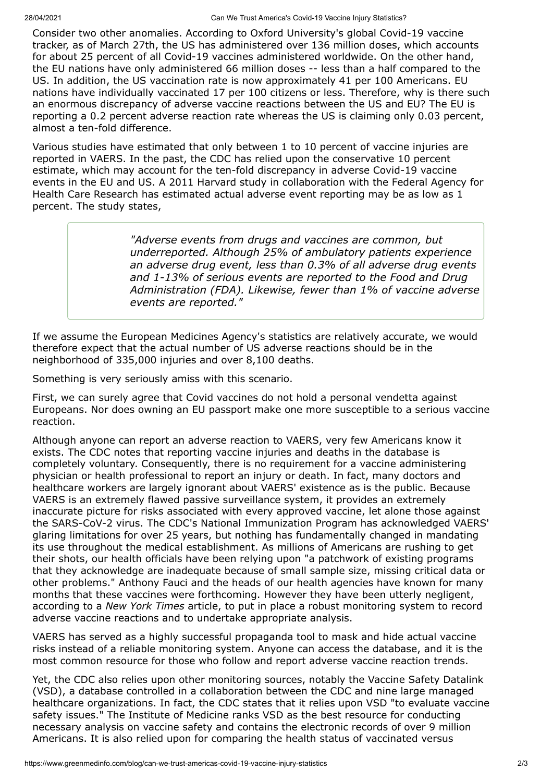Consider two other anomalies. According to Oxford University's global Covid-19 vaccine tracker, as of March 27th, the US has administered over 136 million doses, which accounts for about 25 percent of all Covid-19 vaccines administered worldwide. On the other hand, the EU nations have only administered 66 million doses -- less than a half compared to the US. In addition, the US vaccination rate is now approximately 41 per 100 Americans. EU nations have individually vaccinated 17 per 100 citizens or less. Therefore, why is there such an enormous discrepancy of adverse vaccine reactions between the US and EU? The EU is reporting a 0.2 percent adverse reaction rate whereas the US is claiming only 0.03 percent, almost a ten-fold difference.

Various studies have estimated that only between 1 to 10 percent of vaccine injuries are reported in VAERS. In the past, the CDC has relied upon the conservative 10 percent estimate, which may account for the ten-fold discrepancy in adverse Covid-19 vaccine events in the EU and US. A 2011 Harvard study in collaboration with the Federal Agency for Health Care Research has estimated actual adverse event reporting may be as low as 1 percent. The study states,

> *"Adverse events from drugs and vaccines are common, but underreported. Although 25% of ambulatory patients experience an adverse drug event, less than 0.3% of all adverse drug events and 1-13% of serious events are reported to the Food and Drug Administration (FDA). Likewise, fewer than 1% of vaccine adverse events are reported."*

If we assume the European Medicines Agency's statistics are relatively accurate, we would therefore expect that the actual number of US adverse reactions should be in the neighborhood of 335,000 injuries and over 8,100 deaths.

Something is very seriously amiss with this scenario.

First, we can surely agree that Covid vaccines do not hold a personal vendetta against Europeans. Nor does owning an EU passport make one more susceptible to a serious vaccine reaction.

Although anyone can report an adverse reaction to VAERS, very few Americans know it exists. The CDC notes that reporting vaccine injuries and deaths in the database is completely voluntary. Consequently, there is no requirement for a vaccine administering physician or health professional to report an injury or death. In fact, many doctors and healthcare workers are largely ignorant about VAERS' existence as is the public. Because VAERS is an extremely flawed passive surveillance system, it provides an extremely inaccurate picture for risks associated with every approved vaccine, let alone those against the SARS-CoV-2 virus. The CDC's National Immunization Program has acknowledged VAERS' glaring limitations for over 25 years, but nothing has fundamentally changed in mandating its use throughout the medical establishment. As millions of Americans are rushing to get their shots, our health officials have been relying upon "a patchwork of existing programs that they acknowledge are inadequate because of small sample size, missing critical data or other problems." Anthony Fauci and the heads of our health agencies have known for many months that these vaccines were forthcoming. However they have been utterly negligent, according to a *New York Times* article, to put in place a robust monitoring system to record adverse vaccine reactions and to undertake appropriate analysis.

VAERS has served as a highly successful propaganda tool to mask and hide actual vaccine risks instead of a reliable monitoring system. Anyone can access the database, and it is the most common resource for those who follow and report adverse vaccine reaction trends.

Yet, the CDC also relies upon other monitoring sources, notably the Vaccine Safety Datalink (VSD), a database controlled in a collaboration between the CDC and nine large managed healthcare organizations. In fact, the CDC states that it relies upon VSD "to evaluate vaccine safety issues." The Institute of Medicine ranks VSD as the best resource for conducting necessary analysis on vaccine safety and contains the electronic records of over 9 million Americans. It is also relied upon for comparing the health status of vaccinated versus